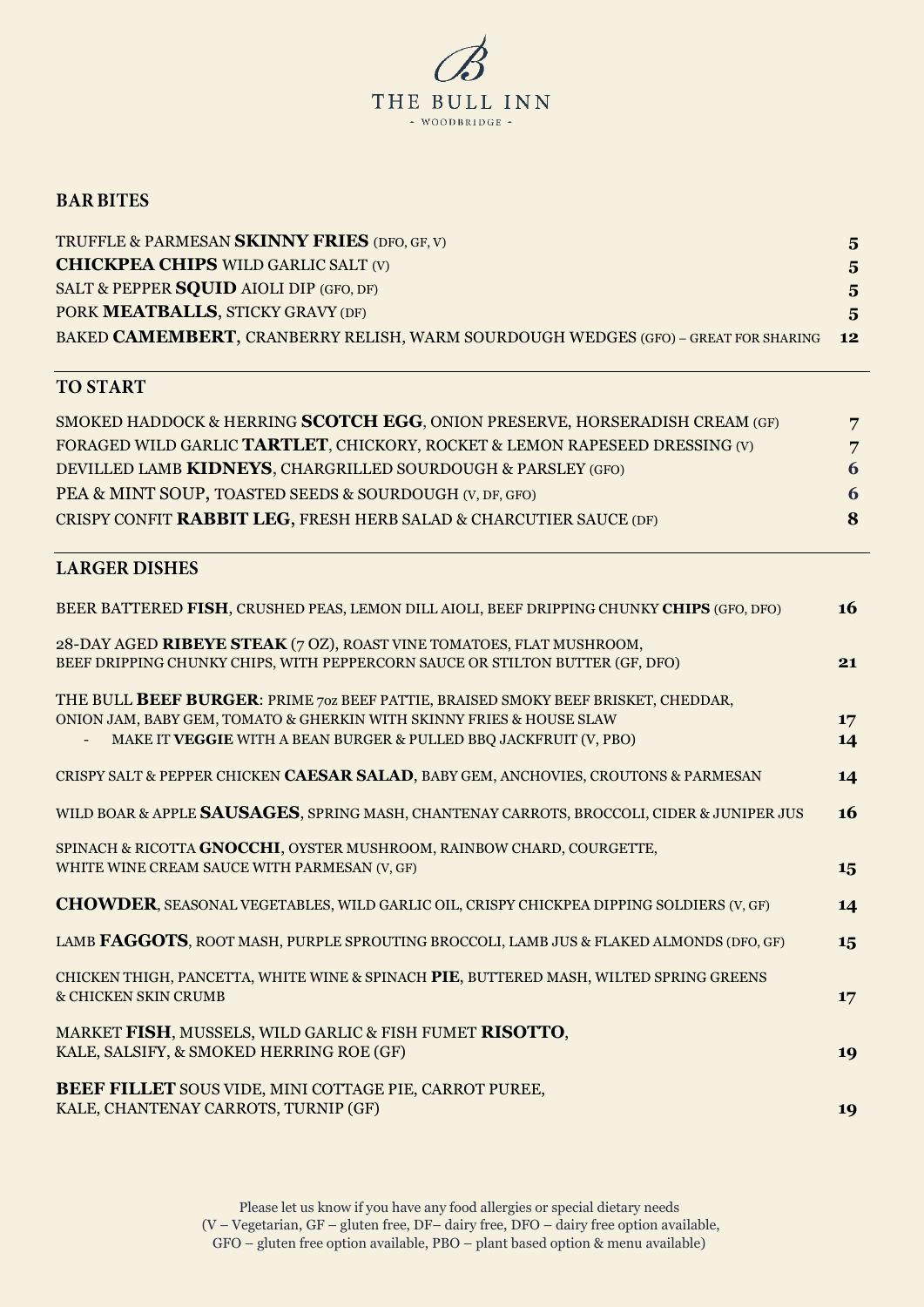

### **BAR BITES**

| TRUFFLE & PARMESAN SKINNY FRIES (DFO, GF, V)                                       | $5^{\circ}$    |
|------------------------------------------------------------------------------------|----------------|
| <b>CHICKPEA CHIPS WILD GARLIC SALT (V)</b>                                         | $5^{\circ}$    |
| SALT & PEPPER SQUID AIOLI DIP (GFO, DF)                                            | $5^{\circ}$    |
| PORK MEATBALLS, STICKY GRAVY (DF)                                                  | 5 <sub>1</sub> |
| BAKED CAMEMBERT, CRANBERRY RELISH, WARM SOURDOUGH WEDGES (GFO) - GREAT FOR SHARING | 12             |

# **TO START**

| SMOKED HADDOCK & HERRING SCOTCH EGG, ONION PRESERVE, HORSERADISH CREAM (GF) | 7 |
|-----------------------------------------------------------------------------|---|
| FORAGED WILD GARLIC TARTLET, CHICKORY, ROCKET & LEMON RAPESEED DRESSING (V) | 7 |
| DEVILLED LAMB KIDNEYS, CHARGRILLED SOURDOUGH & PARSLEY (GFO)                | 6 |
| PEA & MINT SOUP, TOASTED SEEDS & SOURDOUGH (V, DF, GFO)                     | 6 |
| CRISPY CONFIT RABBIT LEG, FRESH HERB SALAD & CHARCUTIER SAUCE (DF)          | 8 |

## **LARGER DISHES**

| BEER BATTERED FISH, CRUSHED PEAS, LEMON DILL AIOLI, BEEF DRIPPING CHUNKY CHIPS (GFO, DFO)                                                                                                                                      | <b>16</b> |
|--------------------------------------------------------------------------------------------------------------------------------------------------------------------------------------------------------------------------------|-----------|
| 28-DAY AGED RIBEYE STEAK (7 OZ), ROAST VINE TOMATOES, FLAT MUSHROOM,<br>BEEF DRIPPING CHUNKY CHIPS, WITH PEPPERCORN SAUCE OR STILTON BUTTER (GF, DFO)                                                                          | 21        |
| THE BULL BEEF BURGER: PRIME 70Z BEEF PATTIE, BRAISED SMOKY BEEF BRISKET, CHEDDAR,<br>ONION JAM, BABY GEM, TOMATO & GHERKIN WITH SKINNY FRIES & HOUSE SLAW<br>MAKE IT VEGGIE WITH A BEAN BURGER & PULLED BBQ JACKFRUIT (V, PBO) | 17<br>14  |
| CRISPY SALT & PEPPER CHICKEN CAESAR SALAD, BABY GEM, ANCHOVIES, CROUTONS & PARMESAN                                                                                                                                            | 14        |
| WILD BOAR & APPLE SAUSAGES, SPRING MASH, CHANTENAY CARROTS, BROCCOLI, CIDER & JUNIPER JUS                                                                                                                                      | 16        |
| SPINACH & RICOTTA GNOCCHI, OYSTER MUSHROOM, RAINBOW CHARD, COURGETTE,<br>WHITE WINE CREAM SAUCE WITH PARMESAN (V, GF)                                                                                                          | 15        |
| <b>CHOWDER, SEASONAL VEGETABLES, WILD GARLIC OIL, CRISPY CHICKPEA DIPPING SOLDIERS (V, GF)</b>                                                                                                                                 | 14        |
| LAMB FAGGOTS, ROOT MASH, PURPLE SPROUTING BROCCOLI, LAMB JUS & FLAKED ALMONDS (DFO, GF)                                                                                                                                        | 15        |
| CHICKEN THIGH, PANCETTA, WHITE WINE & SPINACH PIE, BUTTERED MASH, WILTED SPRING GREENS<br>& CHICKEN SKIN CRUMB                                                                                                                 | 17        |
| MARKET FISH, MUSSELS, WILD GARLIC & FISH FUMET RISOTTO,<br>KALE, SALSIFY, & SMOKED HERRING ROE (GF)                                                                                                                            | 19        |
| BEEF FILLET SOUS VIDE, MINI COTTAGE PIE, CARROT PUREE,<br>KALE, CHANTENAY CARROTS, TURNIP (GF)                                                                                                                                 | 19        |